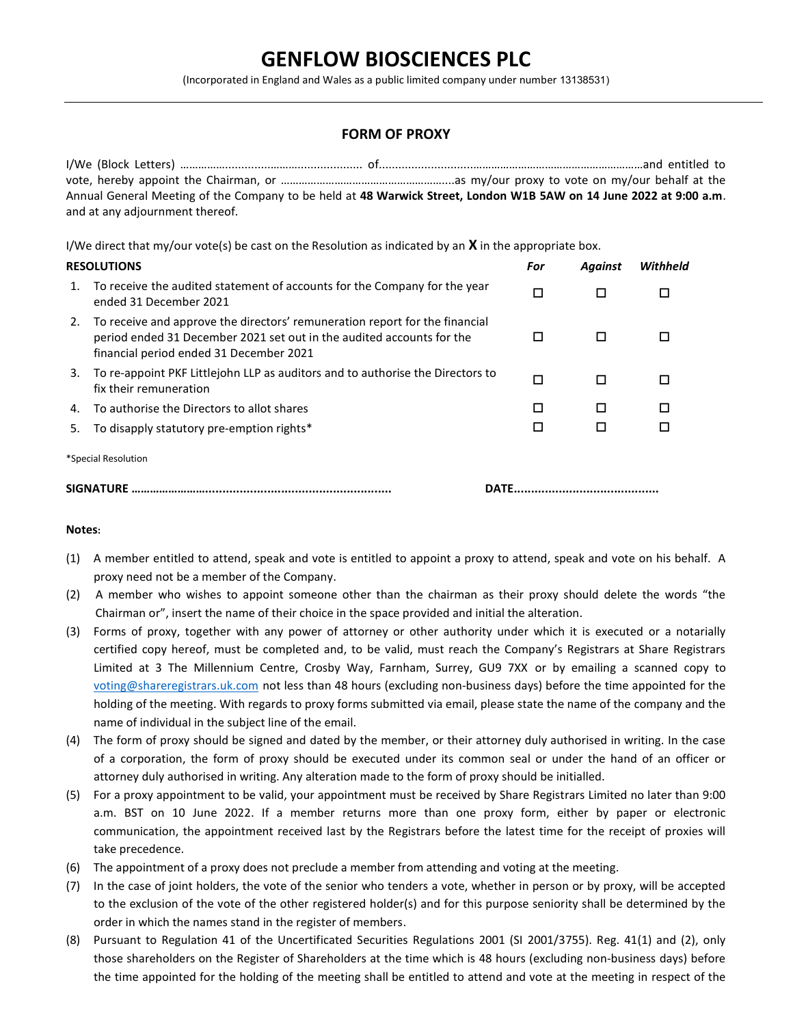## GENFLOW BIOSCIENCES PLC

(Incorporated in England and Wales as a public limited company under number 13138531)

## FORM OF PROXY

I/We (Block Letters) ……………..............……….................... of.............................…………………………………………………and entitled to vote, hereby appoint the Chairman, or ………………………………………………....as my/our proxy to vote on my/our behalf at the Annual General Meeting of the Company to be held at 48 Warwick Street, London W1B 5AW on 14 June 2022 at 9:00 a.m. and at any adjournment thereof.

I/We direct that my/our vote(s) be cast on the Resolution as indicated by an  $X$  in the appropriate box.

## RESOLUTIONS For Against Withheld Resources and the control of the control of the control of the control of the control of the control of the control of the control of the control of the control of the control of the contro 1. To receive the audited statement of accounts for the Company for the year □ □ □ □ □ 2. To receive and approve the directors' remuneration report for the financial period ended 31 December 2021 set out in the audited accounts for the financial period ended 31 December 2021 0 0 0 3. To re-appoint PKF Littlejohn LLP as auditors and to authorise the Directors to □ □ □ □ □ □ 4. To authorise the Directors to allot shares **the contract of the Contract Contract Contract Contract Contract Contract Contract Contract Contract Contract Contract Contract Contract Contract Contract Contract Contract Co** 5. To disapply statutory pre-emption rights\* \*Special Resolution SIGNATURE ……………………...................................................... DATE..........................................

## Notes:

- (1) A member entitled to attend, speak and vote is entitled to appoint a proxy to attend, speak and vote on his behalf. A proxy need not be a member of the Company.
- (2) A member who wishes to appoint someone other than the chairman as their proxy should delete the words "the Chairman or", insert the name of their choice in the space provided and initial the alteration.
- (3) Forms of proxy, together with any power of attorney or other authority under which it is executed or a notarially certified copy hereof, must be completed and, to be valid, must reach the Company's Registrars at Share Registrars Limited at 3 The Millennium Centre, Crosby Way, Farnham, Surrey, GU9 7XX or by emailing a scanned copy to voting@shareregistrars.uk.com not less than 48 hours (excluding non-business days) before the time appointed for the holding of the meeting. With regards to proxy forms submitted via email, please state the name of the company and the name of individual in the subject line of the email.
- (4) The form of proxy should be signed and dated by the member, or their attorney duly authorised in writing. In the case of a corporation, the form of proxy should be executed under its common seal or under the hand of an officer or attorney duly authorised in writing. Any alteration made to the form of proxy should be initialled.
- (5) For a proxy appointment to be valid, your appointment must be received by Share Registrars Limited no later than 9:00 a.m. BST on 10 June 2022. If a member returns more than one proxy form, either by paper or electronic communication, the appointment received last by the Registrars before the latest time for the receipt of proxies will take precedence.
- (6) The appointment of a proxy does not preclude a member from attending and voting at the meeting.
- (7) In the case of joint holders, the vote of the senior who tenders a vote, whether in person or by proxy, will be accepted to the exclusion of the vote of the other registered holder(s) and for this purpose seniority shall be determined by the order in which the names stand in the register of members.
- (8) Pursuant to Regulation 41 of the Uncertificated Securities Regulations 2001 (SI 2001/3755). Reg. 41(1) and (2), only those shareholders on the Register of Shareholders at the time which is 48 hours (excluding non-business days) before the time appointed for the holding of the meeting shall be entitled to attend and vote at the meeting in respect of the